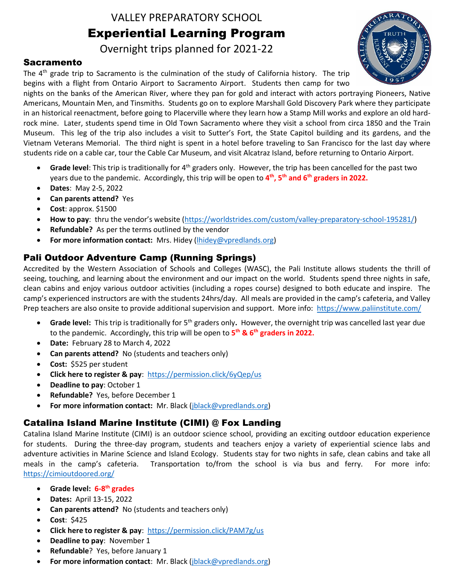VALLEY PREPARATORY SCHOOL Experiential Learning Program

Overnight trips planned for 2021-22

#### Sacramento

The 4<sup>th</sup> grade trip to Sacramento is the culmination of the study of California history. The trip begins with a flight from Ontario Airport to Sacramento Airport. Students then camp for two



nights on the banks of the American River, where they pan for gold and interact with actors portraying Pioneers, Native Americans, Mountain Men, and Tinsmiths. Students go on to explore Marshall Gold Discovery Park where they participate in an historical reenactment, before going to Placerville where they learn how a Stamp Mill works and explore an old hardrock mine. Later, students spend time in Old Town Sacramento where they visit a school from circa 1850 and the Train Museum. This leg of the trip also includes a visit to Sutter's Fort, the State Capitol building and its gardens, and the Vietnam Veterans Memorial. The third night is spent in a hotel before traveling to San Francisco for the last day where students ride on a cable car, tour the Cable Car Museum, and visit Alcatraz Island, before returning to Ontario Airport.

- Grade level: This trip is traditionally for 4<sup>th</sup> graders only. However, the trip has been cancelled for the past two years due to the pandemic. Accordingly, this trip will be open to **4 th, 5th and 6th graders in 2022.**
- **Dates**: May 2-5, 2022
- **Can parents attend?** Yes
- **Cost**: approx. \$1500
- **How to pay**: thru the vendor's website ([https://worldstrides.com/custom/valley-preparatory-school-195281/\)](https://worldstrides.com/custom/valley-preparatory-school-195281/)
- **Refundable?** As per the terms outlined by the vendor
- **For more information contact:** Mrs. Hidey [\(lhidey@vpredlands.org\)](mailto:lhidey@vpredlands.org)

#### Pali Outdoor Adventure Camp (Running Springs)

Accredited by the Western Association of Schools and Colleges (WASC), the Pali Institute allows students the thrill of seeing, touching, and learning about the environment and our impact on the world. Students spend three nights in safe, clean cabins and enjoy various outdoor activities (including a ropes course) designed to both educate and inspire. The camp's experienced instructors are with the students 24hrs/day. All meals are provided in the camp's cafeteria, and Valley Prep teachers are also onsite to provide additional supervision and support. More info: <https://www.paliinstitute.com/>

- Grade level: This trip is traditionally for 5<sup>th</sup> graders only. However, the overnight trip was cancelled last year due to the pandemic. Accordingly, this trip will be open to **5 th & 6th graders in 2022.**
- **Date:** February 28 to March 4, 2022
- **Can parents attend?** No (students and teachers only)
- **Cost:** \$525 per student
- **Click here to register & pay**: <https://permission.click/6yQep/us>
- **Deadline to pay**: October 1
- **Refundable?** Yes, before December 1
- **For more information contact:** Mr. Black [\(jblack@vpredlands.org\)](mailto:jblack@vpredlands.org)

## Catalina Island Marine Institute (CIMI) @ Fox Landing

Catalina Island Marine Institute (CIMI) is an outdoor science school, providing an exciting outdoor education experience for students. During the three-day program, students and teachers enjoy a variety of experiential science labs and adventure activities in Marine Science and Island Ecology. Students stay for two nights in safe, clean cabins and take all meals in the camp's cafeteria. Transportation to/from the school is via bus and ferry. For more info: <https://cimioutdoored.org/>

- **Grade level: 6-8 th grades**
- **Dates:** April 13-15, 2022
- **Can parents attend?** No (students and teachers only)
- **Cost**: \$425
- **Click here to register & pay**: <https://permission.click/PAM7g/us>
- **Deadline to pay**: November 1
- **Refundable**? Yes, before January 1
- **For more information contact**: Mr. Black [\(jblack@vpredlands.org\)](mailto:jblack@vpredlands.org)